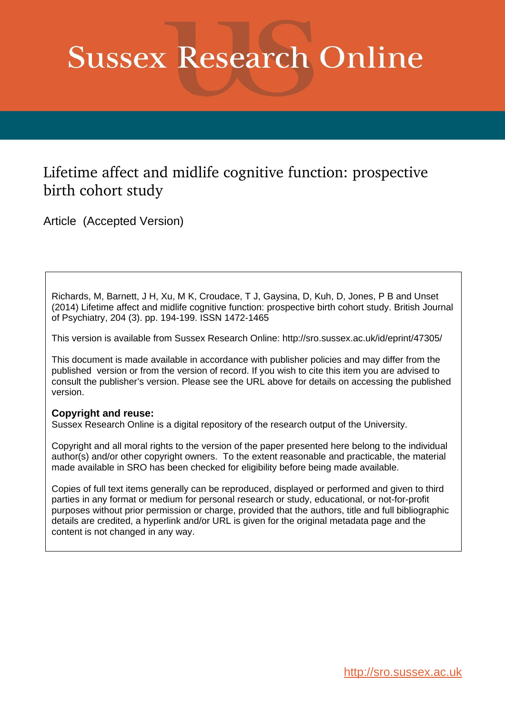# **Sussex Research Online**

## Lifetime affect and midlife cognitive function: prospective birth cohort study

Article (Accepted Version)

Richards, M, Barnett, J H, Xu, M K, Croudace, T J, Gaysina, D, Kuh, D, Jones, P B and Unset (2014) Lifetime affect and midlife cognitive function: prospective birth cohort study. British Journal of Psychiatry, 204 (3). pp. 194-199. ISSN 1472-1465

This version is available from Sussex Research Online: http://sro.sussex.ac.uk/id/eprint/47305/

This document is made available in accordance with publisher policies and may differ from the published version or from the version of record. If you wish to cite this item you are advised to consult the publisher's version. Please see the URL above for details on accessing the published version.

### **Copyright and reuse:**

Sussex Research Online is a digital repository of the research output of the University.

Copyright and all moral rights to the version of the paper presented here belong to the individual author(s) and/or other copyright owners. To the extent reasonable and practicable, the material made available in SRO has been checked for eligibility before being made available.

Copies of full text items generally can be reproduced, displayed or performed and given to third parties in any format or medium for personal research or study, educational, or not-for-profit purposes without prior permission or charge, provided that the authors, title and full bibliographic details are credited, a hyperlink and/or URL is given for the original metadata page and the content is not changed in any way.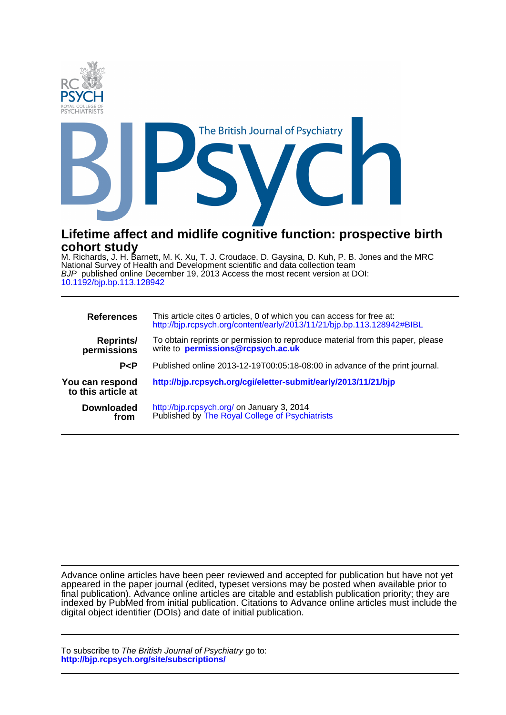



## **cohort study Lifetime affect and midlife cognitive function: prospective birth**

[10.1192/bjp.bp.113.128942](http://bjp.rcpsych.org/) BJP published online December 19, 2013 Access the most recent version at DOI: National Survey of Health and Development scientific and data collection team M. Richards, J. H. Barnett, M. K. Xu, T. J. Croudace, D. Gaysina, D. Kuh, P. B. Jones and the MRC

| <b>References</b>                     | This article cites 0 articles, 0 of which you can access for free at:<br>http://bip.rcpsych.org/content/early/2013/11/21/bjp.bp.113.128942#BIBL |
|---------------------------------------|-------------------------------------------------------------------------------------------------------------------------------------------------|
| <b>Reprints/</b><br>permissions       | To obtain reprints or permission to reproduce material from this paper, please write to <b>permissions@rcpsych.ac.uk</b>                        |
| P < P                                 | Published online 2013-12-19T00:05:18-08:00 in advance of the print journal.                                                                     |
| You can respond<br>to this article at | http://bjp.rcpsych.org/cgi/eletter-submit/early/2013/11/21/bjp                                                                                  |
| <b>Downloaded</b><br>from             | http://bjp.rcpsych.org/ on January 3, 2014<br>Published by The Royal College of Psychiatrists                                                   |

digital object identifier (DOIs) and date of initial publication. indexed by PubMed from initial publication. Citations to Advance online articles must include the final publication). Advance online articles are citable and establish publication priority; they are appeared in the paper journal (edited, typeset versions may be posted when available prior to Advance online articles have been peer reviewed and accepted for publication but have not yet

**[http://bjp.rcpsych.org/site/subscriptions/](http://bjp.rcpsych.org//site/subscriptions/)** To subscribe to The British Journal of Psychiatry go to: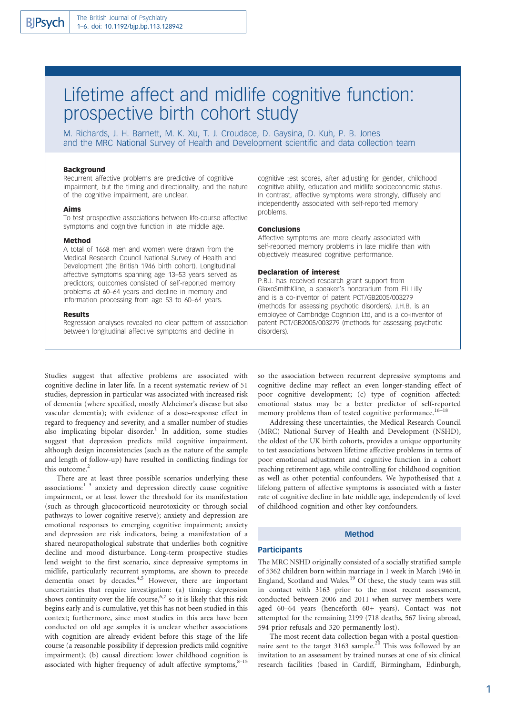# Lifetime affect and midlife cognitive function: prospective birth cohort study

M. Richards, J. H. Barnett, M. K. Xu, T. J. Croudace, D. Gaysina, D. Kuh, P. B. Jones and the MRC National Survey of Health and Development scientific and data collection team

#### Background

Recurrent affective problems are predictive of cognitive impairment, but the timing and directionality, and the nature of the cognitive impairment, are unclear.

#### Aims

To test prospective associations between life-course affective symptoms and cognitive function in late middle age.

#### Method

A total of 1668 men and women were drawn from the Medical Research Council National Survey of Health and Development (the British 1946 birth cohort). Longitudinal affective symptoms spanning age 13–53 years served as predictors; outcomes consisted of self-reported memory problems at 60–64 years and decline in memory and information processing from age 53 to 60–64 years.

#### Results

Regression analyses revealed no clear pattern of association between longitudinal affective symptoms and decline in

Studies suggest that affective problems are associated with cognitive decline in later life. In a recent systematic review of 51 studies, depression in particular was associated with increased risk of dementia (where specified, mostly Alzheimer's disease but also vascular dementia); with evidence of a dose–response effect in regard to frequency and severity, and a smaller number of studies also implicating bipolar disorder.<sup>1</sup> In addition, some studies suggest that depression predicts mild cognitive impairment, although design inconsistencies (such as the nature of the sample and length of follow-up) have resulted in conflicting findings for this outcome.<sup>2</sup>

There are at least three possible scenarios underlying these associations:1–3 anxiety and depression directly cause cognitive impairment, or at least lower the threshold for its manifestation (such as through glucocorticoid neurotoxicity or through social pathways to lower cognitive reserve); anxiety and depression are emotional responses to emerging cognitive impairment; anxiety and depression are risk indicators, being a manifestation of a shared neuropathological substrate that underlies both cognitive decline and mood disturbance. Long-term prospective studies lend weight to the first scenario, since depressive symptoms in midlife, particularly recurrent symptoms, are shown to precede dementia onset by decades.4,5 However, there are important uncertainties that require investigation: (a) timing: depression shows continuity over the life course,<sup>6,7</sup> so it is likely that this risk begins early and is cumulative, yet this has not been studied in this context; furthermore, since most studies in this area have been conducted on old age samples it is unclear whether associations with cognition are already evident before this stage of the life course (a reasonable possibility if depression predicts mild cognitive impairment); (b) causal direction: lower childhood cognition is associated with higher frequency of adult affective symptoms, $8-15$ 

cognitive test scores, after adjusting for gender, childhood cognitive ability, education and midlife socioeconomic status. In contrast, affective symptoms were strongly, diffusely and independently associated with self-reported memory problems.

#### Conclusions

Affective symptoms are more clearly associated with self-reported memory problems in late midlife than with objectively measured cognitive performance.

#### Declaration of interest

P.B.J. has received research grant support from GlaxoSmithKline, a speaker's honorarium from Eli Lilly and is a co-inventor of patent PCT/GB2005/003279 (methods for assessing psychotic disorders). J.H.B. is an employee of Cambridge Cognition Ltd, and is a co-inventor of patent PCT/GB2005/003279 (methods for assessing psychotic disorders).

so the association between recurrent depressive symptoms and cognitive decline may reflect an even longer-standing effect of poor cognitive development; (c) type of cognition affected: emotional status may be a better predictor of self-reported memory problems than of tested cognitive performance.<sup>16–18</sup>

Addressing these uncertainties, the Medical Research Council (MRC) National Survey of Health and Development (NSHD), the oldest of the UK birth cohorts, provides a unique opportunity to test associations between lifetime affective problems in terms of poor emotional adjustment and cognitive function in a cohort reaching retirement age, while controlling for childhood cognition as well as other potential confounders. We hypothesised that a lifelong pattern of affective symptoms is associated with a faster rate of cognitive decline in late middle age, independently of level of childhood cognition and other key confounders.

#### Method

#### **Participants**

The MRC NSHD originally consisted of a socially stratified sample of 5362 children born within marriage in 1 week in March 1946 in England, Scotland and Wales.<sup>19</sup> Of these, the study team was still in contact with 3163 prior to the most recent assessment, conducted between 2006 and 2011 when survey members were aged 60–64 years (henceforth 60+ years). Contact was not attempted for the remaining 2199 (718 deaths, 567 living abroad, 594 prior refusals and 320 permanently lost).

The most recent data collection began with a postal questionnaire sent to the target 3163 sample.<sup>20</sup> This was followed by an invitation to an assessment by trained nurses at one of six clinical research facilities (based in Cardiff, Birmingham, Edinburgh,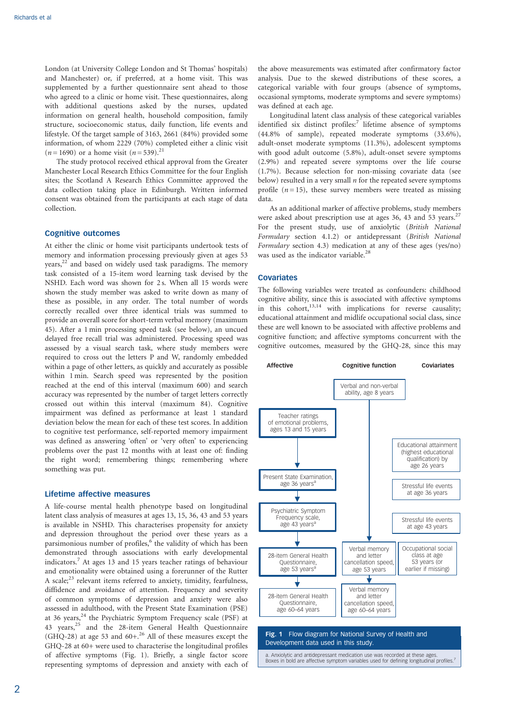London (at University College London and St Thomas' hospitals) and Manchester) or, if preferred, at a home visit. This was supplemented by a further questionnaire sent ahead to those who agreed to a clinic or home visit. These questionnaires, along with additional questions asked by the nurses, updated information on general health, household composition, family structure, socioeconomic status, daily function, life events and lifestyle. Of the target sample of 3163, 2661 (84%) provided some information, of whom 2229 (70%) completed either a clinic visit  $(n = 1690)$  or a home visit  $(n = 539).^{21}$ 

The study protocol received ethical approval from the Greater Manchester Local Research Ethics Committee for the four English sites; the Scotland A Research Ethics Committee approved the data collection taking place in Edinburgh. Written informed consent was obtained from the participants at each stage of data collection.

#### Cognitive outcomes

At either the clinic or home visit participants undertook tests of memory and information processing previously given at ages 53  $years<sub>1</sub><sup>22</sup>$  and based on widely used task paradigms. The memory task consisted of a 15-item word learning task devised by the NSHD. Each word was shown for 2 s. When all 15 words were shown the study member was asked to write down as many of these as possible, in any order. The total number of words correctly recalled over three identical trials was summed to provide an overall score for short-term verbal memory (maximum 45). After a 1 min processing speed task (see below), an uncued delayed free recall trial was administered. Processing speed was assessed by a visual search task, where study members were required to cross out the letters P and W, randomly embedded within a page of other letters, as quickly and accurately as possible within 1 min. Search speed was represented by the position reached at the end of this interval (maximum 600) and search accuracy was represented by the number of target letters correctly crossed out within this interval (maximum 84). Cognitive impairment was defined as performance at least 1 standard deviation below the mean for each of these test scores. In addition to cognitive test performance, self-reported memory impairment was defined as answering 'often' or 'very often' to experiencing problems over the past 12 months with at least one of: finding the right word; remembering things; remembering where something was put.

#### Lifetime affective measures

A life-course mental health phenotype based on longitudinal latent class analysis of measures at ages 13, 15, 36, 43 and 53 years is available in NSHD. This characterises propensity for anxiety and depression throughout the period over these years as a parsimonious number of profiles,<sup>6</sup> the validity of which has been demonstrated through associations with early developmental indicators.<sup>7</sup> At ages 13 and 15 years teacher ratings of behaviour and emotionality were obtained using a forerunner of the Rutter A scale;<sup>23</sup> relevant items referred to anxiety, timidity, fearfulness, diffidence and avoidance of attention. Frequency and severity of common symptoms of depression and anxiety were also assessed in adulthood, with the Present State Examination (PSE) at 36 years,<sup>24</sup> the Psychiatric Symptom Frequency scale (PSF) at 43 years,  $^{25}$  and the 28-item General Health Questionnaire (GHQ-28) at age 53 and  $60+<sup>26</sup>$  All of these measures except the GHQ-28 at 60+ were used to characterise the longitudinal profiles of affective symptoms (Fig. 1). Briefly, a single factor score representing symptoms of depression and anxiety with each of the above measurements was estimated after confirmatory factor analysis. Due to the skewed distributions of these scores, a categorical variable with four groups (absence of symptoms, occasional symptoms, moderate symptoms and severe symptoms) was defined at each age.

Longitudinal latent class analysis of these categorical variables identified six distinct profiles:<sup>7</sup> lifetime absence of symptoms (44.8% of sample), repeated moderate symptoms (33.6%), adult-onset moderate symptoms (11.3%), adolescent symptoms with good adult outcome (5.8%), adult-onset severe symptoms (2.9%) and repeated severe symptoms over the life course (1.7%). Because selection for non-missing covariate data (see below) resulted in a very small  $n$  for the repeated severe symptoms profile  $(n = 15)$ , these survey members were treated as missing data.

As an additional marker of affective problems, study members were asked about prescription use at ages 36, 43 and 53 years.<sup>27</sup> For the present study, use of anxiolytic (British National Formulary section 4.1.2) or antidepressant (British National Formulary section 4.3) medication at any of these ages (yes/no) was used as the indicator variable.<sup>28</sup>

#### Covariates

The following variables were treated as confounders: childhood cognitive ability, since this is associated with affective symptoms in this cohort,  $13,14$  with implications for reverse causality; educational attainment and midlife occupational social class, since these are well known to be associated with affective problems and cognitive function; and affective symptoms concurrent with the cognitive outcomes, measured by the GHQ-28, since this may

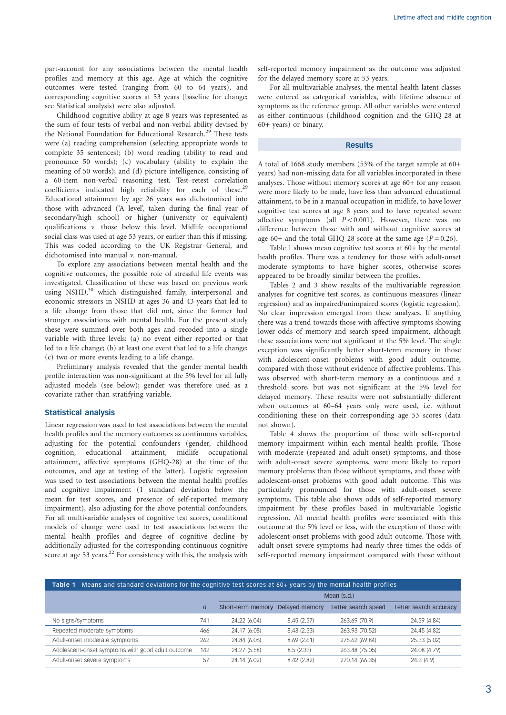part-account for any associations between the mental health profiles and memory at this age. Age at which the cognitive outcomes were tested (ranging from 60 to 64 years), and corresponding cognitive scores at 53 years (baseline for change; see Statistical analysis) were also adjusted.

Childhood cognitive ability at age 8 years was represented as the sum of four tests of verbal and non-verbal ability devised by the National Foundation for Educational Research.<sup>29</sup> These tests were (a) reading comprehension (selecting appropriate words to complete 35 sentences); (b) word reading (ability to read and pronounce 50 words); (c) vocabulary (ability to explain the meaning of 50 words); and (d) picture intelligence, consisting of a 60-item non-verbal reasoning test. Test–retest correlation coefficients indicated high reliability for each of these.<sup>29</sup> Educational attainment by age 26 years was dichotomised into those with advanced ('A level', taken during the final year of secondary/high school) or higher (university or equivalent) qualifications v. those below this level. Midlife occupational social class was used at age 53 years, or earlier than this if missing. This was coded according to the UK Registrar General, and dichotomised into manual v. non-manual.

To explore any associations between mental health and the cognitive outcomes, the possible role of stressful life events was investigated. Classification of these was based on previous work using NSHD,<sup>30</sup> which distinguished family, interpersonal and economic stressors in NSHD at ages 36 and 43 years that led to a life change from those that did not, since the former had stronger associations with mental health. For the present study these were summed over both ages and recoded into a single variable with three levels: (a) no event either reported or that led to a life change; (b) at least one event that led to a life change; (c) two or more events leading to a life change.

Preliminary analysis revealed that the gender mental health profile interaction was non-significant at the 5% level for all fully adjusted models (see below); gender was therefore used as a covariate rather than stratifying variable.

#### Statistical analysis

Linear regression was used to test associations between the mental health profiles and the memory outcomes as continuous variables, adjusting for the potential confounders (gender, childhood cognition, educational attainment, midlife occupational attainment, affective symptoms (GHQ-28) at the time of the outcomes, and age at testing of the latter). Logistic regression was used to test associations between the mental health profiles and cognitive impairment (1 standard deviation below the mean for test scores, and presence of self-reported memory impairment), also adjusting for the above potential confounders. For all multivariable analyses of cognitive test scores, conditional models of change were used to test associations between the mental health profiles and degree of cognitive decline by additionally adjusted for the corresponding continuous cognitive score at age 53 years. $^{22}$  For consistency with this, the analysis with

self-reported memory impairment as the outcome was adjusted for the delayed memory score at 53 years.

For all multivariable analyses, the mental health latent classes were entered as categorical variables, with lifetime absence of symptoms as the reference group. All other variables were entered as either continuous (childhood cognition and the GHQ-28 at 60+ years) or binary.

#### Results

A total of 1668 study members (53% of the target sample at 60+ years) had non-missing data for all variables incorporated in these analyses. Those without memory scores at age 60+ for any reason were more likely to be male, have less than advanced educational attainment, to be in a manual occupation in midlife, to have lower cognitive test scores at age 8 years and to have repeated severe affective symptoms (all  $P < 0.001$ ). However, there was no difference between those with and without cognitive scores at age 60+ and the total GHO-28 score at the same age  $(P=0.26)$ .

Table 1 shows mean cognitive test scores at 60+ by the mental health profiles. There was a tendency for those with adult-onset moderate symptoms to have higher scores, otherwise scores appeared to be broadly similar between the profiles.

Tables 2 and 3 show results of the multivariable regression analyses for cognitive test scores, as continuous measures (linear regression) and as impaired/unimpaired scores (logistic regression). No clear impression emerged from these analyses. If anything there was a trend towards those with affective symptoms showing lower odds of memory and search speed impairment, although these associations were not significant at the 5% level. The single exception was significantly better short-term memory in those with adolescent-onset problems with good adult outcome, compared with those without evidence of affective problems. This was observed with short-term memory as a continuous and a threshold score, but was not significant at the 5% level for delayed memory. These results were not substantially different when outcomes at 60–64 years only were used, i.e. without conditioning these on their corresponding age 53 scores (data not shown).

Table 4 shows the proportion of those with self-reported memory impairment within each mental health profile. Those with moderate (repeated and adult-onset) symptoms, and those with adult-onset severe symptoms, were more likely to report memory problems than those without symptoms, and those with adolescent-onset problems with good adult outcome. This was particularly pronounced for those with adult-onset severe symptoms. This table also shows odds of self-reported memory impairment by these profiles based in multivariable logistic regression. All mental health profiles were associated with this outcome at the 5% level or less, with the exception of those with adolescent-onset problems with good adult outcome. Those with adult-onset severe symptoms had nearly three times the odds of self-reported memory impairment compared with those without

| Table 1 Means and standard deviations for the cognitive test scores at 60+ years by the mental health profiles |                |                   |                |                     |                        |
|----------------------------------------------------------------------------------------------------------------|----------------|-------------------|----------------|---------------------|------------------------|
|                                                                                                                |                | Mean $(s.d.)$     |                |                     |                        |
|                                                                                                                | $\overline{n}$ | Short-term memory | Delayed memory | Letter search speed | Letter search accuracy |
| No signs/symptoms                                                                                              | 741            | 24.22 (6.04)      | 8.45(2.57)     | 263.69 (70.9)       | 24.59 (4.84)           |
| Repeated moderate symptoms                                                                                     | 466            | 24.17 (6.08)      | 8.43(2.53)     | 263.93 (70.52)      | 24.45 (4.82)           |
| Adult-onset moderate symptoms                                                                                  | 262            | 24.84 (6.06)      | 8.69(2.61)     | 275.62 (69.84)      | 25.33 (5.02)           |
| Adolescent-onset symptoms with good adult outcome                                                              | 142            | 24.27 (5.58)      | 8.5(2.33)      | 263.48 (75.05)      | 24.08 (4.79)           |
| Adult-onset severe symptoms                                                                                    | 57             | 24.14 (6.02)      | 8.42(2.82)     | 270.14 (66.35)      | 24.3 (4.9)             |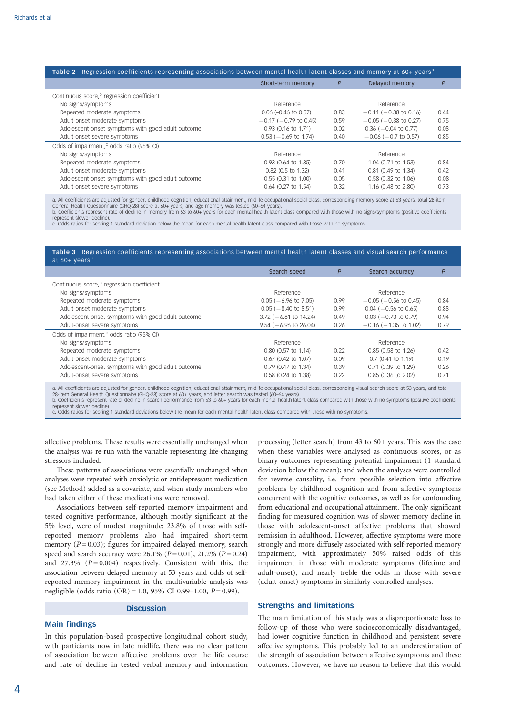| Table 2 Regression coefficients representing associations between mental health latent classes and memory at 60+ years <sup>a</sup>                                          |                            |      |                            |      |
|------------------------------------------------------------------------------------------------------------------------------------------------------------------------------|----------------------------|------|----------------------------|------|
|                                                                                                                                                                              | Short-term memory          |      | Delayed memory             | P    |
| Continuous score, <sup>b</sup> regression coefficient                                                                                                                        |                            |      |                            |      |
| No signs/symptoms                                                                                                                                                            | Reference                  |      | Reference                  |      |
| Repeated moderate symptoms                                                                                                                                                   | $0.06$ (-0.46 to 0.57)     | 0.83 | $-0.11$ ( $-0.38$ to 0.16) | 0.44 |
| Adult-onset moderate symptoms                                                                                                                                                | $-0.17$ ( $-0.79$ to 0.45) | 0.59 | $-0.05$ ( $-0.38$ to 0.27) | 0.75 |
| Adolescent-onset symptoms with good adult outcome                                                                                                                            | 0.93 (0.16 to 1.71)        | 0.02 | $0.36$ ( $-0.04$ to 0.77)  | 0.08 |
| Adult-onset severe symptoms                                                                                                                                                  | $0.53$ ( $-0.69$ to 1.74)  | 0.40 | $-0.06$ ( $-0.7$ to 0.57)  | 0.85 |
| Odds of impairment, <sup>c</sup> odds ratio (95% CI)                                                                                                                         |                            |      |                            |      |
| No signs/symptoms                                                                                                                                                            | Reference                  |      | Reference                  |      |
| Repeated moderate symptoms                                                                                                                                                   | 0.93 (0.64 to 1.35)        | 0.70 | 1.04 (0.71 to 1.53)        | 0.84 |
| Adult-onset moderate symptoms                                                                                                                                                | $0.82$ (0.5 to 1.32)       | 0.41 | 0.81 (0.49 to 1.34)        | 0.42 |
| Adolescent-onset symptoms with good adult outcome                                                                                                                            | $0.55$ (0.31 to 1.00)      | 0.05 | 0.58 (0.32 to 1.06)        | 0.08 |
| Adult-onset severe symptoms                                                                                                                                                  | $0.64$ (0.27 to 1.54)      | 0.32 | 1.16 (0.48 to 2.80)        | 0.73 |
| a All confficients are adjusted for gender childhood cognition educational attainment midlife occupational social class corresponding memory score at 53 years total 28-item |                            |      |                            |      |

a. All coefficients are adjusted for gender, childhood cognition, educational attainment, midlife occupational social class, corresponding memory score at 53 years, total 28-item<br>General Health Questionnaire (GHQ-28) score represent slower decline).

c. Odds ratios for scoring 1 standard deviation below the mean for each mental health latent class compared with those with no symptoms.

#### Table 3 Regression coefficients representing associations between mental health latent classes and visual search performance at  $60+$  years<sup>a</sup>

|                                                       | Search speed                     |      | Search accuracy            | P    |
|-------------------------------------------------------|----------------------------------|------|----------------------------|------|
| Continuous score, <sup>b</sup> regression coefficient |                                  |      |                            |      |
| No signs/symptoms                                     | Reference                        |      | Reference                  |      |
| Repeated moderate symptoms                            | $0.05$ ( $-6.96$ to 7.05)        | 0.99 | $-0.05$ ( $-0.56$ to 0.45) | 0.84 |
| Adult-onset moderate symptoms                         | $0.05$ ( $-8.40$ to 8.51)        | 0.99 | $0.04$ ( $-0.56$ to 0.65)  | 0.88 |
| Adolescent-onset symptoms with good adult outcome     | $3.72 (-6.81$ to 14.24)          | 0.49 | $0.03$ ( $-0.73$ to 0.79)  | 0.94 |
| Adult-onset severe symptoms                           | $9.54 (-6.96 \text{ to } 26.04)$ | 0.26 | $-0.16$ ( $-1.35$ to 1.02) | 0.79 |
| Odds of impairment, <sup>c</sup> odds ratio (95% CI)  |                                  |      |                            |      |
| No signs/symptoms                                     | Reference                        |      | Reference                  |      |
| Repeated moderate symptoms                            | $0.80$ (0.57 to 1.14)            | 0.22 | $0.85$ (0.58 to 1.26)      | 0.42 |
| Adult-onset moderate symptoms                         | $0.67$ (0.42 to 1.07)            | 0.09 | $0.7$ (0.41 to 1.19)       | 0.19 |
| Adolescent-onset symptoms with good adult outcome     | 0.79 (0.47 to 1.34)              | 0.39 | 0.71 (0.39 to 1.29)        | 0.26 |
| Adult-onset severe symptoms                           | 0.58 (0.24 to 1.38)              | 0.22 | 0.85 (0.36 to 2.02)        | 0.71 |
|                                                       |                                  |      |                            |      |

a. All coefficients are adjusted for gender, childhood cognition, educational attainment, midlife occupational social class, corresponding visual search score at 53 years, and total 28-item General Health Questionnaire (GHQ-28) score at 60+ years, and letter search was tested (60–64 years). b. Coefficients represent rate of decline in search performance from 53 to 60+ years for each mental health latent class compared with those with no symptoms (positive coefficients

represent slower decline).

c. Odds ratios for scoring 1 standard deviations below the mean for each mental health latent class compared with those with no symptoms.

affective problems. These results were essentially unchanged when the analysis was re-run with the variable representing life-changing stressors included.

These patterns of associations were essentially unchanged when analyses were repeated with anxiolytic or antidepressant medication (see Method) added as a covariate, and when study members who had taken either of these medications were removed.

Associations between self-reported memory impairment and tested cognitive performance, although mostly significant at the 5% level, were of modest magnitude: 23.8% of those with selfreported memory problems also had impaired short-term memory ( $P = 0.03$ ); figures for impaired delayed memory, search speed and search accuracy were  $26.1\%$  ( $P = 0.01$ ),  $21.2\%$  ( $P = 0.24$ ) and 27.3%  $(P = 0.004)$  respectively. Consistent with this, the association between delayed memory at 53 years and odds of selfreported memory impairment in the multivariable analysis was negligible (odds ratio  $(OR) = 1.0$ , 95% CI 0.99-1.00,  $P = 0.99$ ).

#### **Discussion**

#### Main findings

In this population-based prospective longitudinal cohort study, with particiants now in late midlife, there was no clear pattern of association between affective problems over the life course and rate of decline in tested verbal memory and information processing (letter search) from 43 to 60+ years. This was the case when these variables were analysed as continuous scores, or as binary outcomes representing potential impairment (1 standard deviation below the mean); and when the analyses were controlled for reverse causality, i.e. from possible selection into affective problems by childhood cognition and from affective symptoms concurrent with the cognitive outcomes, as well as for confounding from educational and occupational attainment. The only significant finding for measured cognition was of slower memory decline in those with adolescent-onset affective problems that showed remission in adulthood. However, affective symptoms were more strongly and more diffusely associated with self-reported memory impairment, with approximately 50% raised odds of this impairment in those with moderate symptoms (lifetime and adult-onset), and nearly treble the odds in those with severe (adult-onset) symptoms in similarly controlled analyses.

#### Strengths and limitations

The main limitation of this study was a disproportionate loss to follow-up of those who were socioeconomically disadvantaged, had lower cognitive function in childhood and persistent severe affective symptoms. This probably led to an underestimation of the strength of association between affective symptoms and these outcomes. However, we have no reason to believe that this would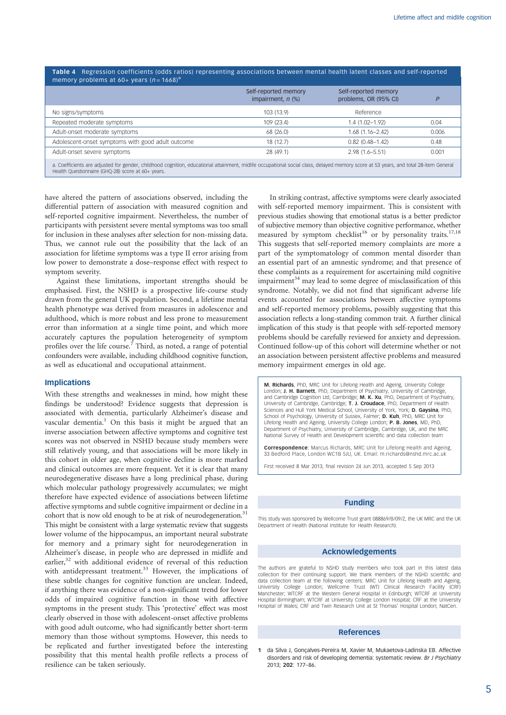|                                                   | Self-reported memory<br>impairment, $n$ $%$ | Self-reported memory<br>problems, OR (95% CI) |       |
|---------------------------------------------------|---------------------------------------------|-----------------------------------------------|-------|
| No signs/symptoms                                 | 103 (13.9)                                  | Reference                                     |       |
| Repeated moderate symptoms                        | 109 (23.4)                                  | $1.4(1.02 - 1.92)$                            | 0.04  |
| Adult-onset moderate symptoms                     | 68 (26.0)                                   | $1.68(1.16 - 2.42)$                           | 0.006 |
| Adolescent-onset symptoms with good adult outcome | 18(12.7)                                    | $0.82(0.48 - 1.42)$                           | 0.48  |
| Adult-onset severe symptoms                       | 28 (49.1)                                   | $2.98(1.6 - 5.51)$                            | 0.001 |

have altered the pattern of associations observed, including the differential pattern of association with measured cognition and self-reported cognitive impairment. Nevertheless, the number of participants with persistent severe mental symptoms was too small for inclusion in these analyses after selection for non-missing data. Thus, we cannot rule out the possibility that the lack of an association for lifetime symptoms was a type II error arising from low power to demonstrate a dose–response effect with respect to symptom severity.

Against these limitations, important strengths should be emphasised. First, the NSHD is a prospective life-course study drawn from the general UK population. Second, a lifetime mental health phenotype was derived from measures in adolescence and adulthood, which is more robust and less prone to measurement error than information at a single time point, and which more accurately captures the population heterogeneity of symptom profiles over the life course.<sup>7</sup> Third, as noted, a range of potential confounders were available, including childhood cognitive function, as well as educational and occupational attainment.

#### **Implications**

With these strengths and weaknesses in mind, how might these findings be understood? Evidence suggests that depression is associated with dementia, particularly Alzheimer's disease and vascular dementia.<sup>1</sup> On this basis it might be argued that an inverse association between affective symptoms and cognitive test scores was not observed in NSHD because study members were still relatively young, and that associations will be more likely in this cohort in older age, when cognitive decline is more marked and clinical outcomes are more frequent. Yet it is clear that many neurodegenerative diseases have a long preclinical phase, during which molecular pathology progressively accumulates; we might therefore have expected evidence of associations between lifetime affective symptoms and subtle cognitive impairment or decline in a cohort that is now old enough to be at risk of neurodegeneration.<sup>31</sup> This might be consistent with a large systematic review that suggests lower volume of the hippocampus, an important neural substrate for memory and a primary sight for neurodegeneration in Alzheimer's disease, in people who are depressed in midlife and earlier,<sup>32</sup> with additional evidence of reversal of this reduction with antidepressant treatment.<sup>33</sup> However, the implications of these subtle changes for cognitive function are unclear. Indeed, if anything there was evidence of a non-significant trend for lower odds of impaired cognitive function in those with affective symptoms in the present study. This 'protective' effect was most clearly observed in those with adolescent-onset affective problems with good adult outcome, who had significantly better short-term memory than those without symptoms. However, this needs to be replicated and further investigated before the interesting possibility that this mental health profile reflects a process of resilience can be taken seriously.

In striking contrast, affective symptoms were clearly associated with self-reported memory impairment. This is consistent with previous studies showing that emotional status is a better predictor of subjective memory than objective cognitive performance, whether measured by symptom checklist<sup>16</sup> or by personality traits.<sup>17,18</sup> This suggests that self-reported memory complaints are more a part of the symptomatology of common mental disorder than an essential part of an amnestic syndrome; and that presence of these complaints as a requirement for ascertaining mild cognitive impairment $^{34}$  may lead to some degree of misclassification of this syndrome. Notably, we did not find that significant adverse life events accounted for associations between affective symptoms and self-reported memory problems, possibly suggesting that this association reflects a long-standing common trait. A further clinical implication of this study is that people with self-reported memory problems should be carefully reviewed for anxiety and depression. Continued follow-up of this cohort will determine whether or not an association between persistent affective problems and measured memory impairment emerges in old age.

M. Richards, PhD, MRC Unit for Lifelong Health and Ageing, University College London; J. H. Barnett, PhD, Department of Psychiatry, University of Cambridge, and Cambridge Cognition Ltd, Cambridge; M. K. Xu, PhD, Department of Psychiatry, University of Cambridge, Cambridge; **T. J. Croudace**, PhD, Department of Health<br>Sciences and Hull York Medical School, University of York, York; **D. Gaysina**, PhD, School of Psychology, University of Sussex, Falmer; D. Kuh, PhD, MRC Unit for Lifelong Health and Ageing, University College London; P. B. Jones, MD, PhD, Department of Psychiatry, University of Cambridge, Cambridge, UK, and the MRC National Survey of Health and Development scientific and data collection team

Correspondence: Marcus Richards, MRC Unit for Lifelong Health and Ageing, 33 Bedford Place, London WC1B 5JU, UK. Email: m.richards@nshd.mrc.ac.uk

First received 8 Mar 2013, final revision 24 Jun 2013, accepted 5 Sep 2013

#### Funding

This study was sponsored by Wellcome Trust grant 088869/B/09/Z, the UK MRC and the UK Department of Health (National Institute for Health Research).

#### Acknowledgements

The authors are grateful to NSHD study members who took part in this latest data collection for their continuing support. We thank members of the NSHD scientific and data collection team at the following centers: MRC Unit for Lifelong Health and Ageing, University College London; Wellcome Trust (WT) Clinical Research Facility (CRF) Manchester; WTCRF at the Western General Hospital in Edinburgh; WTCRF at University Hospital Birmingham; WTCRF at University College London Hospital; CRF at the University Hospital of Wales; CRF and Twin Research Unit at St Thomas' Hospital London; NatCen.

#### References

da Silva J, Goncalves-Pereira M, Xavier M, Mukaetova-Ladinska EB. Affective disorders and risk of developing dementia: systematic review. Br J Psychiatry 2013; 202: 177–86.